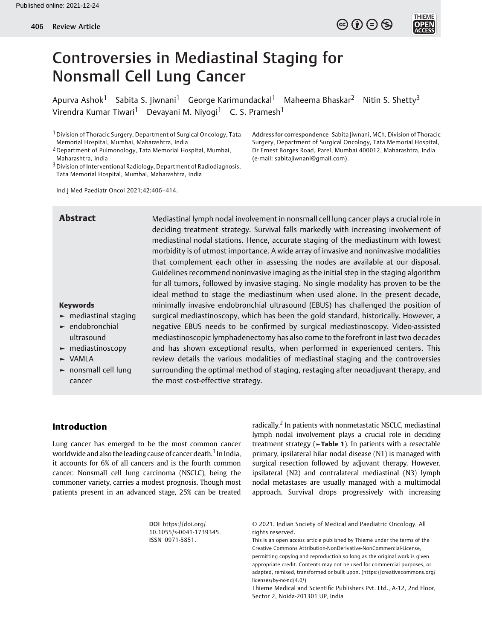

# Controversies in Mediastinal Staging for Nonsmall Cell Lung Cancer

Apurva Ashok<sup>1</sup> Sabita S. Jiwnani<sup>1</sup> George Karimundackal<sup>1</sup> Maheema Bhaskar<sup>2</sup> Nitin S. Shetty<sup>3</sup> Virendra Kumar Tiwari<sup>1</sup> Devayani M. Niyogi<sup>1</sup> C. S. Pramesh<sup>1</sup>

1Division of Thoracic Surgery, Department of Surgical Oncology, Tata Memorial Hospital, Mumbai, Maharashtra, India

2Department of Pulmonology, Tata Memorial Hospital, Mumbai, Maharashtra, India

3Division of Interventional Radiology, Department of Radiodiagnosis, Tata Memorial Hospital, Mumbai, Maharashtra, India

Address for correspondence Sabita Jiwnani, MCh, Division of Thoracic Surgery, Department of Surgical Oncology, Tata Memorial Hospital, Dr Ernest Borges Road, Parel, Mumbai 400012, Maharashtra, India (e-mail: [sabitajiwnani@gmail.com\)](mailto:sabitajiwnani@gmail.com).

Ind J Med Paediatr Oncol 2021;42:406–414.

### Abstract Mediastinal lymph nodal involvement in nonsmall cell lung cancer plays a crucial role in deciding treatment strategy. Survival falls markedly with increasing involvement of mediastinal nodal stations. Hence, accurate staging of the mediastinum with lowest morbidity is of utmost importance. A wide array of invasive and noninvasive modalities that complement each other in assessing the nodes are available at our disposal. Guidelines recommend noninvasive imaging as the initial step in the staging algorithm for all tumors, followed by invasive staging. No single modality has proven to be the ideal method to stage the mediastinum when used alone. In the present decade, minimally invasive endobronchial ultrasound (EBUS) has challenged the position of surgical mediastinoscopy, which has been the gold standard, historically. However, a negative EBUS needs to be confirmed by surgical mediastinoscopy. Video-assisted mediastinoscopic lymphadenectomy has also come to the forefront in last two decades and has shown exceptional results, when performed in experienced centers. This review details the various modalities of mediastinal staging and the controversies surrounding the optimal method of staging, restaging after neoadjuvant therapy, and the most cost-effective strategy.

## ► mediastinal staging

Keywords

- ► endobronchial ultrasound
- ► mediastinoscopy
- ► VAMLA
- ► nonsmall cell lung cancer

Introduction

Lung cancer has emerged to be the most common cancer worldwide and also the leading cause of cancer death.<sup>1</sup> In India, it accounts for 6% of all cancers and is the fourth common cancer. Nonsmall cell lung carcinoma (NSCLC), being the commoner variety, carries a modest prognosis. Though most patients present in an advanced stage, 25% can be treated

radically.<sup>2</sup> In patients with nonmetastatic NSCLC, mediastinal lymph nodal involvement plays a crucial role in deciding treatment strategy ( $\blacktriangleright$ Table 1). In patients with a resectable primary, ipsilateral hilar nodal disease (N1) is managed with surgical resection followed by adjuvant therapy. However, ipsilateral (N2) and contralateral mediastinal (N3) lymph nodal metastases are usually managed with a multimodal approach. Survival drops progressively with increasing

DOI [https://doi.org/](https://doi.org/10.1055/s-0041-1739345) [10.1055/s-0041-1739345](https://doi.org/10.1055/s-0041-1739345). ISSN 0971-5851.

© 2021. Indian Society of Medical and Paediatric Oncology. All rights reserved.

This is an open access article published by Thieme under the terms of the Creative Commons Attribution-NonDerivative-NonCommercial-License, permitting copying and reproduction so long as the original work is given appropriate credit. Contents may not be used for commercial purposes, or adapted, remixed, transformed or built upon. (https://creativecommons.org/ licenses/by-nc-nd/4.0/)

Thieme Medical and Scientific Publishers Pvt. Ltd., A-12, 2nd Floor, Sector 2, Noida-201301 UP, India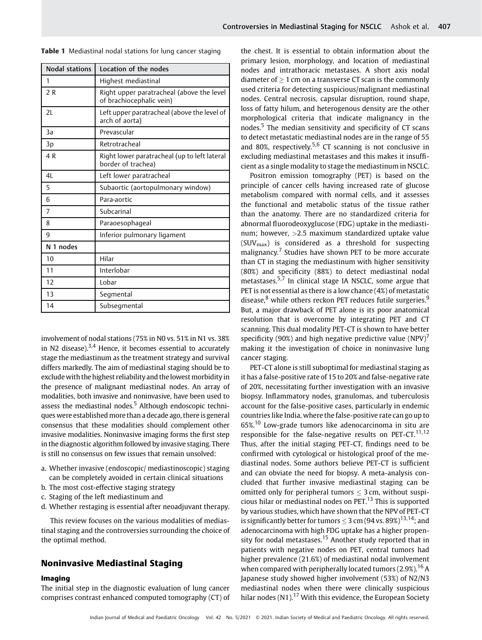| Nodal stations | Location of the nodes                                                 |  |
|----------------|-----------------------------------------------------------------------|--|
| 1              | Highest mediastinal                                                   |  |
| 2R             | Right upper paratracheal (above the level<br>of brachiocephalic vein) |  |
| 2L             | Left upper paratracheal (above the level of<br>arch of aorta)         |  |
| 3a             | Prevascular                                                           |  |
| 3p             | Retrotracheal                                                         |  |
| 4 R            | Right lower paratracheal (up to left lateral<br>border of trachea)    |  |
| 4L             | Left lower paratracheal                                               |  |
| 5              | Subaortic (aortopulmonary window)                                     |  |
| 6              | Para-aortic                                                           |  |
| 7              | Subcarinal                                                            |  |
| 8              | Paraoesophageal                                                       |  |
| 9              | Inferior pulmonary ligament                                           |  |
| N 1 nodes      |                                                                       |  |
| 10             | Hilar                                                                 |  |
| 11             | Interlobar                                                            |  |
| 12             | Lobar                                                                 |  |
| 13             | Segmental                                                             |  |
| 14             | Subsegmental                                                          |  |

Table 1 Mediastinal nodal stations for lung cancer staging

involvement of nodal stations (75% in N0 vs. 51% in N1 vs. 38% in N2 disease). $3,4$  Hence, it becomes essential to accurately stage the mediastinum as the treatment strategy and survival differs markedly. The aim of mediastinal staging should be to exclude with the highest reliability and the lowest morbidity in the presence of malignant mediastinal nodes. An array of modalities, both invasive and noninvasive, have been used to assess the mediastinal nodes. $5$  Although endoscopic techniques were established more than a decade ago, there is general consensus that these modalities should complement other invasive modalities. Noninvasive imaging forms the first step in the diagnostic algorithm followed by invasive staging. There is still no consensus on few issues that remain unsolved:

- a. Whether invasive (endoscopic/ mediastinoscopic) staging can be completely avoided in certain clinical situations
- b. The most cost-effective staging strategy
- c. Staging of the left mediastinum and
- d. Whether restaging is essential after neoadjuvant therapy.

This review focuses on the various modalities of mediastinal staging and the controversies surrounding the choice of the optimal method.

#### Noninvasive Mediastinal Staging

#### Imaging

The initial step in the diagnostic evaluation of lung cancer comprises contrast enhanced computed tomography (CT) of the chest. It is essential to obtain information about the primary lesion, morphology, and location of mediastinal nodes and intrathoracic metastases. A short axis nodal diameter of  $> 1$  cm on a transverse CT scan is the commonly used criteria for detecting suspicious/malignant mediastinal nodes. Central necrosis, capsular disruption, round shape, loss of fatty hilum, and heterogenous density are the other morphological criteria that indicate malignancy in the nodes.<sup>5</sup> The median sensitivity and specificity of CT scans to detect metastatic mediastinal nodes are in the range of 55 and 80%, respectively.<sup>5,6</sup> CT scanning is not conclusive in excluding mediastinal metastases and this makes it insufficient as a single modality to stage the mediastinum in NSCLC.

Positron emission tomography (PET) is based on the principle of cancer cells having increased rate of glucose metabolism compared with normal cells, and it assesses the functional and metabolic status of the tissue rather than the anatomy. There are no standardized criteria for abnormal fluorodeoxyglucose (FDG) uptake in the mediastinum; however, >2.5 maximum standardized uptake value  $(SUV_{max})$  is considered as a threshold for suspecting malignancy. $7$  Studies have shown PET to be more accurate than CT in staging the mediastinum with higher sensitivity (80%) and specificity (88%) to detect mediastinal nodal metastases.<sup>5,7</sup> In clinical stage IA NSCLC, some argue that PET is not essential as there is a low chance (4%) of metastatic disease, $8$  while others reckon PET reduces futile surgeries. $9$ But, a major drawback of PET alone is its poor anatomical resolution that is overcome by integrating PET and CT scanning. This dual modality PET-CT is shown to have better specificity (90%) and high negative predictive value  $(NPV)^7$ making it the investigation of choice in noninvasive lung cancer staging.

PET-CT alone is still suboptimal for mediastinal staging as it has a false-positive rate of 15 to 20% and false-negative rate of 20%, necessitating further investigation with an invasive biopsy. Inflammatory nodes, granulomas, and tuberculosis account for the false-positive cases, particularly in endemic countries like India, where the false-positive rate can go up to 65%.<sup>10</sup> Low-grade tumors like adenocarcinoma in situ are responsible for the false-negative results on PET-CT.<sup>11,12</sup> Thus, after the initial staging PET-CT, findings need to be confirmed with cytological or histological proof of the mediastinal nodes. Some authors believe PET-CT is sufficient and can obviate the need for biopsy. A meta-analysis concluded that further invasive mediastinal staging can be omitted only for peripheral tumors  $\leq$  3 cm, without suspicious hilar or mediastinal nodes on PET.<sup>13</sup> This is supported by various studies, which have shown that the NPV of PET-CT is significantly better for tumors  $\leq$  3 cm (94 vs. 89%)<sup>13,14</sup>: and adenocarcinoma with high FDG uptake has a higher propensity for nodal metastases.<sup>15</sup> Another study reported that in patients with negative nodes on PET, central tumors had higher prevalence (21.6%) of mediastinal nodal involvement when compared with peripherally located tumors  $(2.9\%)$ <sup>16</sup> A Japanese study showed higher involvement (53%) of N2/N3 mediastinal nodes when there were clinically suspicious hilar nodes  $(N1)$ .<sup>17</sup> With this evidence, the European Society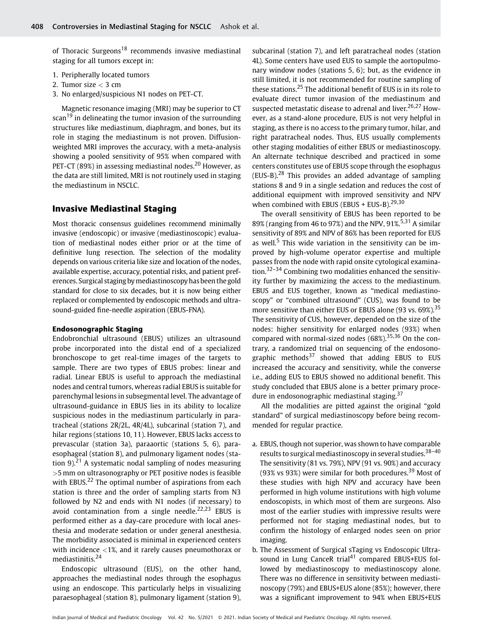of Thoracic Surgeons<sup>18</sup> recommends invasive mediastinal staging for all tumors except in:

- 1. Peripherally located tumors
- 2. Tumor size  $<$  3 cm
- 3. No enlarged/suspicious N1 nodes on PET-CT.

Magnetic resonance imaging (MRI) may be superior to CT scan<sup>19</sup> in delineating the tumor invasion of the surrounding structures like mediastinum, diaphragm, and bones, but its role in staging the mediastinum is not proven. Diffusionweighted MRI improves the accuracy, with a meta-analysis showing a pooled sensitivity of 95% when compared with PET-CT (89%) in assessing mediastinal nodes.<sup>20</sup> However, as the data are still limited, MRI is not routinely used in staging the mediastinum in NSCLC.

#### Invasive Mediastinal Staging

Most thoracic consensus guidelines recommend minimally invasive (endoscopic) or invasive (mediastinoscopic) evaluation of mediastinal nodes either prior or at the time of definitive lung resection. The selection of the modality depends on various criteria like size and location of the nodes, available expertise, accuracy, potential risks, and patient preferences. Surgical staging bymediastinoscopy has been the gold standard for close to six decades, but it is now being either replaced or complemented by endoscopic methods and ultrasound-guided fine-needle aspiration (EBUS-FNA).

#### Endosonographic Staging

Endobronchial ultrasound (EBUS) utilizes an ultrasound probe incorporated into the distal end of a specialized bronchoscope to get real-time images of the targets to sample. There are two types of EBUS probes: linear and radial. Linear EBUS is useful to approach the mediastinal nodes and central tumors, whereas radial EBUS is suitable for parenchymal lesions in subsegmental level. The advantage of ultrasound-guidance in EBUS lies in its ability to localize suspicious nodes in the mediastinum particularly in paratracheal (stations 2R/2L, 4R/4L), subcarinal (station 7), and hilar regions (stations 10, 11). However, EBUS lacks access to prevascular (station 3a), paraaortic (stations 5, 6), paraesophageal (station 8), and pulmonary ligament nodes (station 9).<sup>21</sup> A systematic nodal sampling of nodes measuring >5 mm on ultrasonography or PET positive nodes is feasible with EBUS.<sup>22</sup> The optimal number of aspirations from each station is three and the order of sampling starts from N3 followed by N2 and ends with N1 nodes (if necessary) to avoid contamination from a single needle.<sup>22,23</sup> EBUS is performed either as a day-care procedure with local anesthesia and moderate sedation or under general anesthesia. The morbidity associated is minimal in experienced centers with incidence <1%, and it rarely causes pneumothorax or mediastinitis.<sup>24</sup>

Endoscopic ultrasound (EUS), on the other hand, approaches the mediastinal nodes through the esophagus using an endoscope. This particularly helps in visualizing paraesophageal (station 8), pulmonary ligament (station 9),

subcarinal (station 7), and left paratracheal nodes (station 4L). Some centers have used EUS to sample the aortopulmonary window nodes (stations 5, 6); but, as the evidence in still limited, it is not recommended for routine sampling of these stations.<sup>25</sup> The additional benefit of EUS is in its role to evaluate direct tumor invasion of the mediastinum and suspected metastatic disease to adrenal and liver.<sup>26,27</sup> However, as a stand-alone procedure, EUS is not very helpful in staging, as there is no access to the primary tumor, hilar, and right paratracheal nodes. Thus, EUS usually complements other staging modalities of either EBUS or mediastinoscopy. An alternate technique described and practiced in some centers constitutes use of EBUS scope through the esophagus  $(EUS-B)<sup>28</sup>$  This provides an added advantage of sampling stations 8 and 9 in a single sedation and reduces the cost of additional equipment with improved sensitivity and NPV when combined with EBUS (EBUS + EUS-B). $29,30$ 

The overall sensitivity of EBUS has been reported to be 89% (ranging from 46 to 97%) and the NPV, 91%.<sup>5,31</sup> A similar sensitivity of 89% and NPV of 86% has been reported for EUS as well.<sup>5</sup> This wide variation in the sensitivity can be improved by high-volume operator expertise and multiple passes from the node with rapid onsite cytological examination.<sup>32–34</sup> Combining two modalities enhanced the sensitivity further by maximizing the access to the mediastinum. EBUS and EUS together, known as "medical mediastinoscopy" or "combined ultrasound" (CUS), was found to be more sensitive than either EUS or EBUS alone (93 vs. 69%).<sup>35</sup> The sensitivity of CUS, however, depended on the size of the nodes: higher sensitivity for enlarged nodes (93%) when compared with normal-sized nodes  $(68\%)$ <sup>35,36</sup> On the contrary, a randomized trial on sequencing of the endosonographic methods $37$  showed that adding EBUS to EUS increased the accuracy and sensitivity, while the converse i.e., adding EUS to EBUS showed no additional benefit. This study concluded that EBUS alone is a better primary procedure in endosonographic mediastinal staging.<sup>37</sup>

All the modalities are pitted against the original "gold standard" of surgical mediastinoscopy before being recommended for regular practice.

- a. EBUS, though not superior, was shown to have comparable results to surgical mediastinoscopy in several studies.<sup>38-40</sup> The sensitivity (81 vs. 79%), NPV (91 vs. 90%) and accuracy (93% vs 93%) were similar for both procedures.<sup>39</sup> Most of these studies with high NPV and accuracy have been performed in high volume institutions with high volume endoscopists, in which most of them are surgeons. Also most of the earlier studies with impressive results were performed not for staging mediastinal nodes, but to confirm the histology of enlarged nodes seen on prior imaging.
- b. The Assessment of Surgical sTaging vs Endoscopic Ultrasound in Lung CanceR trial<sup>41</sup> compared EBUS+EUS followed by mediastinoscopy to mediastinoscopy alone. There was no difference in sensitivity between mediastinoscopy (79%) and EBUS+EUS alone (85%); however, there was a significant improvement to 94% when EBUS+EUS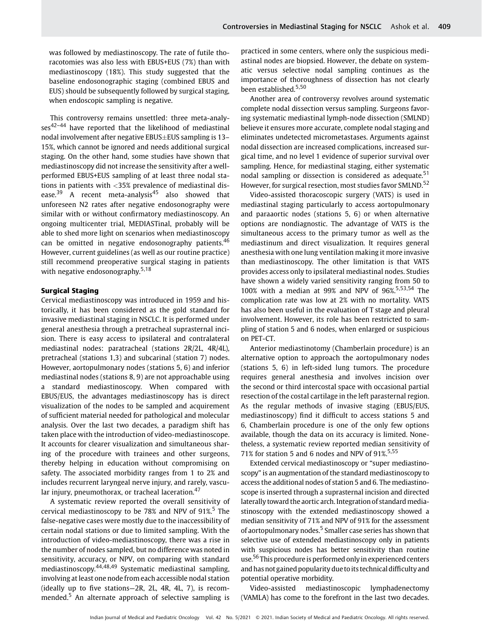was followed by mediastinoscopy. The rate of futile thoracotomies was also less with EBUS+EUS (7%) than with mediastinoscopy (18%). This study suggested that the baseline endosonographic staging (combined EBUS and EUS) should be subsequently followed by surgical staging, when endoscopic sampling is negative.

This controversy remains unsettled: three meta-analyses<sup>42-44</sup> have reported that the likelihood of mediastinal nodal involvement after negative EBUS $\pm$ EUS sampling is 13– 15%, which cannot be ignored and needs additional surgical staging. On the other hand, some studies have shown that mediastinoscopy did not increase the sensitivity after a wellperformed EBUS+EUS sampling of at least three nodal stations in patients with <35% prevalence of mediastinal disease.<sup>39</sup> A recent meta-analysis<sup>45</sup> also showed that unforeseen N2 rates after negative endosonography were similar with or without confirmatory mediastinoscopy. An ongoing multicenter trial, MEDIASTinal, probably will be able to shed more light on scenarios when mediastinoscopy can be omitted in negative endosonography patients.<sup>46</sup> However, current guidelines (as well as our routine practice) still recommend preoperative surgical staging in patients with negative endosonography.<sup>5,18</sup>

#### Surgical Staging

Cervical mediastinoscopy was introduced in 1959 and historically, it has been considered as the gold standard for invasive mediastinal staging in NSCLC. It is performed under general anesthesia through a pretracheal suprasternal incision. There is easy access to ipsilateral and contralateral mediastinal nodes: paratracheal (stations 2R/2L, 4R/4L), pretracheal (stations 1,3) and subcarinal (station 7) nodes. However, aortopulmonary nodes (stations 5, 6) and inferior mediastinal nodes (stations 8, 9) are not approachable using a standard mediastinoscopy. When compared with EBUS/EUS, the advantages mediastinoscopy has is direct visualization of the nodes to be sampled and acquirement of sufficient material needed for pathological and molecular analysis. Over the last two decades, a paradigm shift has taken place with the introduction of video-mediastinoscope. It accounts for clearer visualization and simultaneous sharing of the procedure with trainees and other surgeons, thereby helping in education without compromising on safety. The associated morbidity ranges from 1 to 2% and includes recurrent laryngeal nerve injury, and rarely, vascular injury, pneumothorax, or tracheal laceration.<sup>47</sup>

A systematic review reported the overall sensitivity of cervical mediastinoscopy to be 78% and NPV of  $91\%$ <sup>5</sup> The false-negative cases were mostly due to the inaccessibility of certain nodal stations or due to limited sampling. With the introduction of video-mediastinoscopy, there was a rise in the number of nodes sampled, but no difference was noted in sensitivity, accuracy, or NPV, on comparing with standard mediastinoscopy.44,48,49 Systematic mediastinal sampling, involving at least one node from each accessible nodal station (ideally up to five stations—2R, 2L, 4R, 4L, 7), is recommended.<sup>5</sup> An alternate approach of selective sampling is practiced in some centers, where only the suspicious mediastinal nodes are biopsied. However, the debate on systematic versus selective nodal sampling continues as the importance of thoroughness of dissection has not clearly been established.<sup>5,50</sup>

Another area of controversy revolves around systematic complete nodal dissection versus sampling. Surgeons favoring systematic mediastinal lymph-node dissection (SMLND) believe it ensures more accurate, complete nodal staging and eliminates undetected micrometastases. Arguments against nodal dissection are increased complications, increased surgical time, and no level 1 evidence of superior survival over sampling. Hence, for mediastinal staging, either systematic nodal sampling or dissection is considered as adequate.<sup>51</sup> However, for surgical resection, most studies favor SMLND.<sup>52</sup>

Video-assisted thoracoscopic surgery (VATS) is used in mediastinal staging particularly to access aortopulmonary and paraaortic nodes (stations 5, 6) or when alternative options are nondiagnostic. The advantage of VATS is the simultaneous access to the primary tumor as well as the mediastinum and direct visualization. It requires general anesthesia with one lung ventilation making it more invasive than mediastinoscopy. The other limitation is that VATS provides access only to ipsilateral mediastinal nodes. Studies have shown a widely varied sensitivity ranging from 50 to 100% with a median at 99% and NPV of  $96\frac{1}{5}553,54$  The complication rate was low at 2% with no mortality. VATS has also been useful in the evaluation of T stage and pleural involvement. However, its role has been restricted to sampling of station 5 and 6 nodes, when enlarged or suspicious on PET-CT.

Anterior mediastinotomy (Chamberlain procedure) is an alternative option to approach the aortopulmonary nodes (stations 5, 6) in left-sided lung tumors. The procedure requires general anesthesia and involves incision over the second or third intercostal space with occasional partial resection of the costal cartilage in the left parasternal region. As the regular methods of invasive staging (EBUS/EUS, mediastinoscopy) find it difficult to access stations 5 and 6, Chamberlain procedure is one of the only few options available, though the data on its accuracy is limited. Nonetheless, a systematic review reported median sensitivity of 71% for station 5 and 6 nodes and NPV of  $91\%^{5,55}$ 

Extended cervical mediastinoscopy or "super mediastinoscopy" is an augmentation of the standard mediastinoscopy to access the additional nodes of station 5 and 6. The mediastinoscope is inserted through a suprasternal incision and directed laterally toward the aortic arch. Integration of standard mediastinoscopy with the extended mediastinoscopy showed a median sensitivity of 71% and NPV of 91% for the assessment of aortopulmonary nodes.<sup>5</sup> Smaller case series has shown that selective use of extended mediastinoscopy only in patients with suspicious nodes has better sensitivity than routine use.<sup>56</sup> This procedure is performed only in experienced centers and has not gained popularity due to its technical difficulty and potential operative morbidity.

Video-assisted mediastinoscopic lymphadenectomy (VAMLA) has come to the forefront in the last two decades.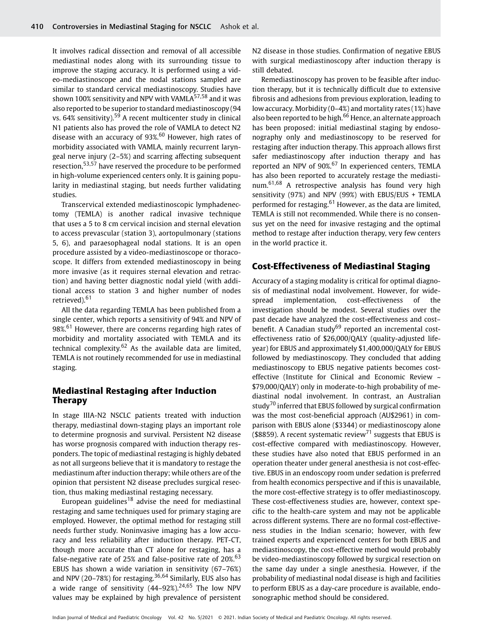It involves radical dissection and removal of all accessible mediastinal nodes along with its surrounding tissue to improve the staging accuracy. It is performed using a video-mediastinoscope and the nodal stations sampled are similar to standard cervical mediastinoscopy. Studies have shown 100% sensitivity and NPV with VAMLA $57,58$  and it was also reported to be superior to standard mediastinoscopy (94 vs. 64% sensitivity).<sup>59</sup> A recent multicenter study in clinical N1 patients also has proved the role of VAMLA to detect N2 disease with an accuracy of  $93\%$ <sup>60</sup> However, high rates of morbidity associated with VAMLA, mainly recurrent laryngeal nerve injury (2–5%) and scarring affecting subsequent resection,53,57 have reserved the procedure to be performed in high-volume experienced centers only. It is gaining popularity in mediastinal staging, but needs further validating studies.

Transcervical extended mediastinoscopic lymphadenectomy (TEMLA) is another radical invasive technique that uses a 5 to 8 cm cervical incision and sternal elevation to access prevascular (station 3), aortopulmonary (stations 5, 6), and paraesophageal nodal stations. It is an open procedure assisted by a video-mediastinoscope or thoracoscope. It differs from extended mediastinoscopy in being more invasive (as it requires sternal elevation and retraction) and having better diagnostic nodal yield (with additional access to station 3 and higher number of nodes retrieved).<sup>61</sup>

All the data regarding TEMLA has been published from a single center, which reports a sensitivity of 94% and NPV of 98%.<sup>61</sup> However, there are concerns regarding high rates of morbidity and mortality associated with TEMLA and its technical complexity.<sup>62</sup> As the available data are limited, TEMLA is not routinely recommended for use in mediastinal staging.

#### Mediastinal Restaging after Induction Therapy

In stage IIIA-N2 NSCLC patients treated with induction therapy, mediastinal down-staging plays an important role to determine prognosis and survival. Persistent N2 disease has worse prognosis compared with induction therapy responders. The topic of mediastinal restaging is highly debated as not all surgeons believe that it is mandatory to restage the mediastinum after induction therapy; while others are of the opinion that persistent N2 disease precludes surgical resection, thus making mediastinal restaging necessary.

European guidelines<sup>18</sup> advise the need for mediastinal restaging and same techniques used for primary staging are employed. However, the optimal method for restaging still needs further study. Noninvasive imaging has a low accuracy and less reliability after induction therapy. PET-CT, though more accurate than CT alone for restaging, has a false-negative rate of 25% and false-positive rate of  $20\%$ <sup>63</sup> EBUS has shown a wide variation in sensitivity (67–76%) and NPV (20–78%) for restaging.<sup>36,64</sup> Similarly, EUS also has a wide range of sensitivity  $(44-92\%)^{24,65}$  The low NPV values may be explained by high prevalence of persistent N2 disease in those studies. Confirmation of negative EBUS with surgical mediastinoscopy after induction therapy is still debated.

Remediastinoscopy has proven to be feasible after induction therapy, but it is technically difficult due to extensive fibrosis and adhesions from previous exploration, leading to low accuracy. Morbidity (0–4%) and mortality rates (1%) have also been reported to be high.<sup>66</sup> Hence, an alternate approach has been proposed: initial mediastinal staging by endosonography only and mediastinoscopy to be reserved for restaging after induction therapy. This approach allows first safer mediastinoscopy after induction therapy and has reported an NPV of 90%.<sup>67</sup> In experienced centers, TEMLA has also been reported to accurately restage the mediastinum.61,68 A retrospective analysis has found very high sensitivity (97%) and NPV (99%) with EBUS/EUS + TEMLA performed for restaging.<sup>61</sup> However, as the data are limited, TEMLA is still not recommended. While there is no consensus yet on the need for invasive restaging and the optimal method to restage after induction therapy, very few centers in the world practice it.

#### Cost-Effectiveness of Mediastinal Staging

Accuracy of a staging modality is critical for optimal diagnosis of mediastinal nodal involvement. However, for widespread implementation, cost-effectiveness of the investigation should be modest. Several studies over the past decade have analyzed the cost-effectiveness and cost– benefit. A Canadian study<sup>69</sup> reported an incremental costeffectiveness ratio of \$26,000/QALY (quality-adjusted lifeyear) for EBUS and approximately \$1,400,000/QALY for EBUS followed by mediastinoscopy. They concluded that adding mediastinoscopy to EBUS negative patients becomes costeffective (Institute for Clinical and Economic Review ~ \$79,000/QALY) only in moderate-to-high probability of mediastinal nodal involvement. In contrast, an Australian study<sup>70</sup> inferred that EBUS followed by surgical confirmation was the most cost-beneficial approach (AU\$2961) in comparison with EBUS alone (\$3344) or mediastinoscopy alone (\$8859). A recent systematic review<sup>71</sup> suggests that EBUS is cost-effective compared with mediastinoscopy. However, these studies have also noted that EBUS performed in an operation theater under general anesthesia is not cost-effective. EBUS in an endoscopy room under sedation is preferred from health economics perspective and if this is unavailable, the more cost-effective strategy is to offer mediastinoscopy. These cost-effectiveness studies are, however, context specific to the health-care system and may not be applicable across different systems. There are no formal cost-effectiveness studies in the Indian scenario; however, with few trained experts and experienced centers for both EBUS and mediastinoscopy, the cost-effective method would probably be video-mediastinoscopy followed by surgical resection on the same day under a single anesthesia. However, if the probability of mediastinal nodal disease is high and facilities to perform EBUS as a day-care procedure is available, endosonographic method should be considered.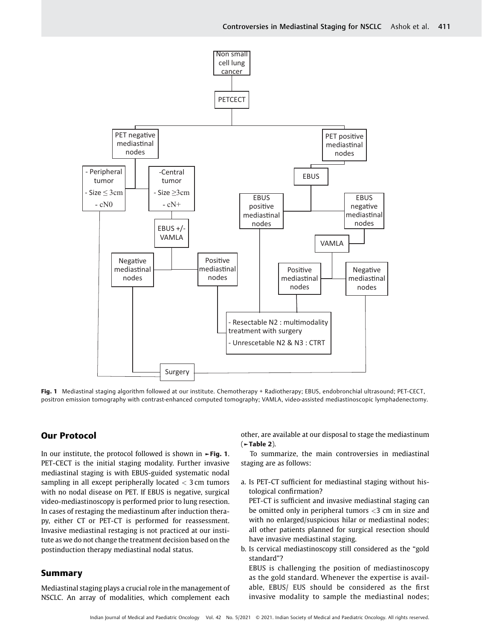

Fig. 1 Mediastinal staging algorithm followed at our institute. Chemotherapy + Radiotherapy; EBUS, endobronchial ultrasound; PET-CECT, positron emission tomography with contrast-enhanced computed tomography; VAMLA, video-assisted mediastinoscopic lymphadenectomy.

#### Our Protocol

In our institute, the protocol followed is shown in ►Fig. 1. PET-CECT is the initial staging modality. Further invasive mediastinal staging is with EBUS-guided systematic nodal sampling in all except peripherally located  $<$  3 cm tumors with no nodal disease on PET. If EBUS is negative, surgical video-mediastinoscopy is performed prior to lung resection. In cases of restaging the mediastinum after induction therapy, either CT or PET-CT is performed for reassessment. Invasive mediastinal restaging is not practiced at our institute as we do not change the treatment decision based on the postinduction therapy mediastinal nodal status.

#### Summary

Mediastinal staging plays a crucial role in the management of NSCLC. An array of modalities, which complement each

other, are available at our disposal to stage the mediastinum  $($   $\blacktriangleright$  Table 2).

To summarize, the main controversies in mediastinal staging are as follows:

a. Is PET-CT sufficient for mediastinal staging without histological confirmation?

PET-CT is sufficient and invasive mediastinal staging can be omitted only in peripheral tumors <3 cm in size and with no enlarged/suspicious hilar or mediastinal nodes; all other patients planned for surgical resection should have invasive mediastinal staging.

b. Is cervical mediastinoscopy still considered as the "gold standard"?

EBUS is challenging the position of mediastinoscopy as the gold standard. Whenever the expertise is available, EBUS/ EUS should be considered as the first invasive modality to sample the mediastinal nodes;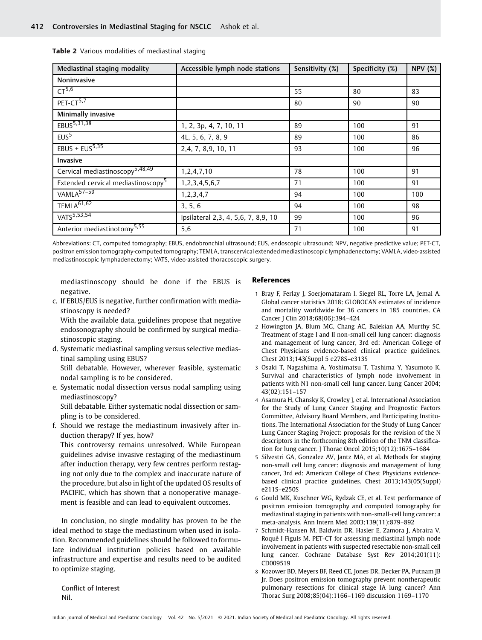| Mediastinal staging modality                   | Accessible lymph node stations      | Sensitivity (%) | Specificity (%) | <b>NPV (%)</b> |
|------------------------------------------------|-------------------------------------|-----------------|-----------------|----------------|
| Noninvasive                                    |                                     |                 |                 |                |
| CT <sup>5,6</sup>                              |                                     | 55              | 80              | 83             |
| $PET-CT5,7$                                    |                                     | 80              | 90              | 90             |
| Minimally invasive                             |                                     |                 |                 |                |
| $EBUS^{5,31,38}$                               | 1, 2, 3p, 4, 7, 10, 11              | 89              | 100             | 91             |
| EUS <sup>5</sup>                               | 4L, 5, 6, 7, 8, 9                   | 89              | 100             | 86             |
| EBUS + $EUS5,35$                               | 2, 4, 7, 8, 9, 10, 11               | 93              | 100             | 96             |
| Invasive                                       |                                     |                 |                 |                |
| Cervical mediastinoscopy <sup>5,48,49</sup>    | 1,2,4,7,10                          | 78              | 100             | 91             |
| Extended cervical mediastinoscopy <sup>5</sup> | 1,2,3,4,5,6,7                       | 71              | 100             | 91             |
| $VAMLA57-59$                                   | 1,2,3,4,7                           | 94              | 100             | 100            |
| TEMLA <sup>61,62</sup>                         | 3, 5, 6                             | 94              | 100             | 98             |
| $VATS^{5,53,54}$                               | Ipsilateral 2,3, 4, 5,6, 7, 8,9, 10 | 99              | 100             | 96             |
| Anterior mediastinotomy <sup>5,55</sup>        | 5,6                                 | 71              | 100             | 91             |

| Table 2 Various modalities of mediastinal staging |
|---------------------------------------------------|
|---------------------------------------------------|

Abbreviations: CT, computed tomography; EBUS, endobronchial ultrasound; EUS, endoscopic ultrasound; NPV, negative predictive value; PET-CT, positron emission tomography-computed tomography; TEMLA, transcervical extended mediastinoscopic lymphadenectomy; VAMLA, video-assisted mediastinoscopic lymphadenectomy; VATS, video-assisted thoracoscopic surgery.

mediastinoscopy should be done if the EBUS is negative.

c. If EBUS/EUS is negative, further confirmation with mediastinoscopy is needed?

With the available data, guidelines propose that negative endosonography should be confirmed by surgical mediastinoscopic staging.

- d. Systematic mediastinal sampling versus selective mediastinal sampling using EBUS? Still debatable. However, wherever feasible, systematic nodal sampling is to be considered.
- e. Systematic nodal dissection versus nodal sampling using mediastinoscopy?

Still debatable. Either systematic nodal dissection or sampling is to be considered.

f. Should we restage the mediastinum invasively after induction therapy? If yes, how?

This controversy remains unresolved. While European guidelines advise invasive restaging of the mediastinum after induction therapy, very few centres perform restaging not only due to the complex and inaccurate nature of the procedure, but also in light of the updated OS results of PACIFIC, which has shown that a nonoperative management is feasible and can lead to equivalent outcomes.

In conclusion, no single modality has proven to be the ideal method to stage the mediastinum when used in isolation. Recommended guidelines should be followed to formulate individual institution policies based on available infrastructure and expertise and results need to be audited to optimize staging.

Conflict of Interest Nil.

#### References

- 1 Bray F, Ferlay J, Soerjomataram I, Siegel RL, Torre LA, Jemal A. Global cancer statistics 2018: GLOBOCAN estimates of incidence and mortality worldwide for 36 cancers in 185 countries. CA Cancer J Clin 2018;68(06):394–424
- 2 Howington JA, Blum MG, Chang AC, Balekian AA, Murthy SC. Treatment of stage I and II non-small cell lung cancer: diagnosis and management of lung cancer, 3rd ed: American College of Chest Physicians evidence-based clinical practice guidelines. Chest 2013;143(Suppl 5 e278S–e313S
- 3 Osaki T, Nagashima A, Yoshimatsu T, Tashima Y, Yasumoto K. Survival and characteristics of lymph node involvement in patients with N1 non-small cell lung cancer. Lung Cancer 2004; 43(02):151–157
- 4 Asamura H, Chansky K, Crowley J, et al. International Association for the Study of Lung Cancer Staging and Prognostic Factors Committee, Advisory Board Members, and Participating Institutions. The International Association for the Study of Lung Cancer Lung Cancer Staging Project: proposals for the revision of the N descriptors in the forthcoming 8th edition of the TNM classification for lung cancer. J Thorac Oncol 2015;10(12):1675–1684
- 5 Silvestri GA, Gonzalez AV, Jantz MA, et al. Methods for staging non-small cell lung cancer: diagnosis and management of lung cancer, 3rd ed: American College of Chest Physicians evidencebased clinical practice guidelines. Chest 2013;143(05(Suppl) e211S–e250S
- 6 Gould MK, Kuschner WG, Rydzak CE, et al. Test performance of positron emission tomography and computed tomography for mediastinal staging in patients with non-small-cell lung cancer: a meta-analysis. Ann Intern Med 2003;139(11):879–892
- 7 Schmidt-Hansen M, Baldwin DR, Hasler E, Zamora J, Abraira V, Roqué I Figuls M. PET-CT for assessing mediastinal lymph node involvement in patients with suspected resectable non-small cell lung cancer. Cochrane Database Syst Rev 2014;201(11): CD009519
- 8 Kozower BD, Meyers BF, Reed CE, Jones DR, Decker PA, Putnam JB Jr. Does positron emission tomography prevent nontherapeutic pulmonary resections for clinical stage IA lung cancer? Ann Thorac Surg 2008;85(04):1166–1169 discussion 1169–1170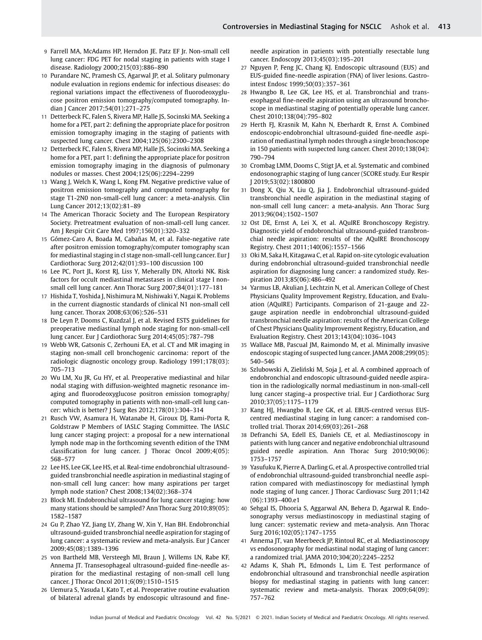- 9 Farrell MA, McAdams HP, Herndon JE. Patz EF Jr. Non-small cell lung cancer: FDG PET for nodal staging in patients with stage I disease. Radiology 2000;215(03):886–890
- 10 Purandare NC, Pramesh CS, Agarwal JP, et al. Solitary pulmonary nodule evaluation in regions endemic for infectious diseases: do regional variations impact the effectiveness of fluorodeoxyglucose positron emission tomography/computed tomography. Indian J Cancer 2017;54(01):271–275
- 11 Detterbeck FC, Falen S, Rivera MP, Halle JS, Socinski MA. Seeking a home for a PET, part 2: defining the appropriate place for positron emission tomography imaging in the staging of patients with suspected lung cancer. Chest 2004;125(06):2300–2308
- 12 Detterbeck FC, Falen S, Rivera MP, Halle JS, Socinski MA. Seeking a home for a PET, part 1: defining the appropriate place for positron emission tomography imaging in the diagnosis of pulmonary nodules or masses. Chest 2004;125(06):2294–2299
- 13 Wang J, Welch K, Wang L, Kong FM. Negative predictive value of positron emission tomography and computed tomography for stage T1-2N0 non-small-cell lung cancer: a meta-analysis. Clin Lung Cancer 2012;13(02):81–89
- 14 The American Thoracic Society and The European Respiratory Society. Pretreatment evaluation of non-small-cell lung cancer. Am J Respir Crit Care Med 1997;156(01):320–332
- 15 Gómez-Caro A, Boada M, Cabañas M, et al. False-negative rate after positron emission tomography/computer tomography scan for mediastinal staging in cI stage non-small-cell lung cancer. Eur J Cardiothorac Surg 2012;42(01):93–100 discussion 100
- 16 Lee PC, Port JL, Korst RJ, Liss Y, Meherally DN, Altorki NK. Risk factors for occult mediastinal metastases in clinical stage I nonsmall cell lung cancer. Ann Thorac Surg 2007;84(01):177–181
- 17 Hishida T, Yoshida J, Nishimura M, Nishiwaki Y, Nagai K. Problems in the current diagnostic standards of clinical N1 non-small cell lung cancer. Thorax 2008;63(06):526–531
- 18 De Leyn P, Dooms C, Kuzdzal J, et al. Revised ESTS guidelines for preoperative mediastinal lymph node staging for non-small-cell lung cancer. Eur J Cardiothorac Surg 2014;45(05):787–798
- 19 Webb WR, Gatsonis C, Zerhouni EA, et al. CT and MR imaging in staging non-small cell bronchogenic carcinoma: report of the radiologic diagnostic oncology group. Radiology 1991;178(03): 705–713
- 20 Wu LM, Xu JR, Gu HY, et al. Preoperative mediastinal and hilar nodal staging with diffusion-weighted magnetic resonance imaging and fluorodeoxyglucose positron emission tomography/ computed tomography in patients with non-small-cell lung cancer: which is better? J Surg Res 2012;178(01):304–314
- 21 Rusch VW, Asamura H, Watanabe H, Giroux DJ, Rami-Porta R, Goldstraw P Members of IASLC Staging Committee. The IASLC lung cancer staging project: a proposal for a new international lymph node map in the forthcoming seventh edition of the TNM classification for lung cancer. J Thorac Oncol 2009;4(05): 568–577
- 22 Lee HS, Lee GK, Lee HS, et al. Real-time endobronchial ultrasoundguided transbronchial needle aspiration in mediastinal staging of non-small cell lung cancer: how many aspirations per target lymph node station? Chest 2008;134(02):368–374
- 23 Block MI. Endobronchial ultrasound for lung cancer staging: how many stations should be sampled? Ann Thorac Surg 2010;89(05): 1582–1587
- 24 Gu P, Zhao YZ, Jiang LY, Zhang W, Xin Y, Han BH. Endobronchial ultrasound-guided transbronchial needle aspiration for staging of lung cancer: a systematic review and meta-analysis. Eur J Cancer 2009;45(08):1389–1396
- 25 von Bartheld MB, Versteegh MI, Braun J, Willems LN, Rabe KF, Annema JT. Transesophageal ultrasound-guided fine-needle aspiration for the mediastinal restaging of non-small cell lung cancer. J Thorac Oncol 2011;6(09):1510–1515
- 26 Uemura S, Yasuda I, Kato T, et al. Preoperative routine evaluation of bilateral adrenal glands by endoscopic ultrasound and fine-

needle aspiration in patients with potentially resectable lung cancer. Endoscopy 2013;45(03):195–201

- 27 Nguyen P, Feng JC, Chang KJ. Endoscopic ultrasound (EUS) and EUS-guided fine-needle aspiration (FNA) of liver lesions. Gastrointest Endosc 1999;50(03):357–361
- 28 Hwangbo B, Lee GK, Lee HS, et al. Transbronchial and transesophageal fine-needle aspiration using an ultrasound bronchoscope in mediastinal staging of potentially operable lung cancer. Chest 2010;138(04):795–802
- 29 Herth FJ, Krasnik M, Kahn N, Eberhardt R, Ernst A. Combined endoscopic-endobronchial ultrasound-guided fine-needle aspiration of mediastinal lymph nodes through a single bronchoscope in 150 patients with suspected lung cancer. Chest 2010;138(04): 790–794
- 30 Crombag LMM, Dooms C, Stigt JA, et al. Systematic and combined endosonographic staging of lung cancer (SCORE study. Eur Respir J 2019;53(02):1800800
- 31 Dong X, Qiu X, Liu Q, Jia J. Endobronchial ultrasound-guided transbronchial needle aspiration in the mediastinal staging of non-small cell lung cancer: a meta-analysis. Ann Thorac Surg 2013;96(04):1502–1507
- 32 Ost DE, Ernst A, Lei X, et al. AQuIRE Bronchoscopy Registry. Diagnostic yield of endobronchial ultrasound-guided transbronchial needle aspiration: results of the AQuIRE Bronchoscopy Registry. Chest 2011;140(06):1557–1566
- Oki M, Saka H, Kitagawa C, et al. Rapid on-site cytologic evaluation during endobronchial ultrasound-guided transbronchial needle aspiration for diagnosing lung cancer: a randomized study. Respiration 2013;85(06):486–492
- 34 Yarmus LB, Akulian J, Lechtzin N, et al. American College of Chest Physicians Quality Improvement Registry, Education, and Evaluation (AQuIRE) Participants. Comparison of 21-gauge and 22 gauge aspiration needle in endobronchial ultrasound-guided transbronchial needle aspiration: results of the American College of Chest Physicians Quality Improvement Registry, Education, and Evaluation Registry. Chest 2013;143(04):1036–1043
- 35 Wallace MB, Pascual JM, Raimondo M, et al. Minimally invasive endoscopic staging of suspected lung cancer. JAMA 2008;299(05): 540–546
- 36 Szlubowski A, Zieliński M, Soja J, et al. A combined approach of endobronchial and endoscopic ultrasound-guided needle aspiration in the radiologically normal mediastinum in non-small-cell lung cancer staging–a prospective trial. Eur J Cardiothorac Surg 2010;37(05):1175–1179
- 37 Kang HJ, Hwangbo B, Lee GK, et al. EBUS-centred versus EUScentred mediastinal staging in lung cancer: a randomised controlled trial. Thorax 2014;69(03):261–268
- 38 Defranchi SA, Edell ES, Daniels CE, et al. Mediastinoscopy in patients with lung cancer and negative endobronchial ultrasound guided needle aspiration. Ann Thorac Surg 2010;90(06): 1753–1757
- 39 Yasufuku K, Pierre A, Darling G, et al. A prospective controlled trial of endobronchial ultrasound-guided transbronchial needle aspiration compared with mediastinoscopy for mediastinal lymph node staging of lung cancer. J Thorac Cardiovasc Surg 2011;142 (06):1393–400.e1
- 40 Sehgal IS, Dhooria S, Aggarwal AN, Behera D, Agarwal R. Endosonography versus mediastinoscopy in mediastinal staging of lung cancer: systematic review and meta-analysis. Ann Thorac Surg 2016;102(05):1747–1755
- 41 Annema JT, van Meerbeeck JP, Rintoul RC, et al. Mediastinoscopy vs endosonography for mediastinal nodal staging of lung cancer: a randomized trial. JAMA 2010;304(20):2245–2252
- 42 Adams K, Shah PL, Edmonds L, Lim E. Test performance of endobronchial ultrasound and transbronchial needle aspiration biopsy for mediastinal staging in patients with lung cancer: systematic review and meta-analysis. Thorax 2009;64(09): 757–762